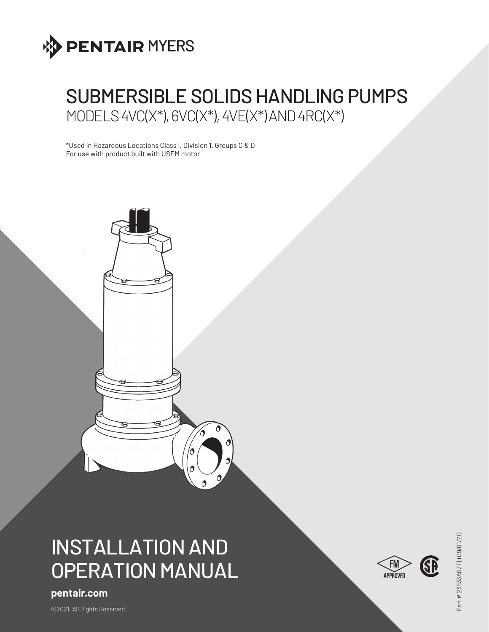

# SUBMERSIBLE SOLIDS HANDLING PUMPS MODELS 4VC(X\*), 6VC(X\*), 4VE(X\*) AND 4RC(X\*)

\*Used in Hazardous Locations Class I, Division 1, Groups C & D For use with product built with USEM motor



# INSTALLATION AND OPERATION MANUAL

# **pentair.com**

©2021. All Rights Reserved.

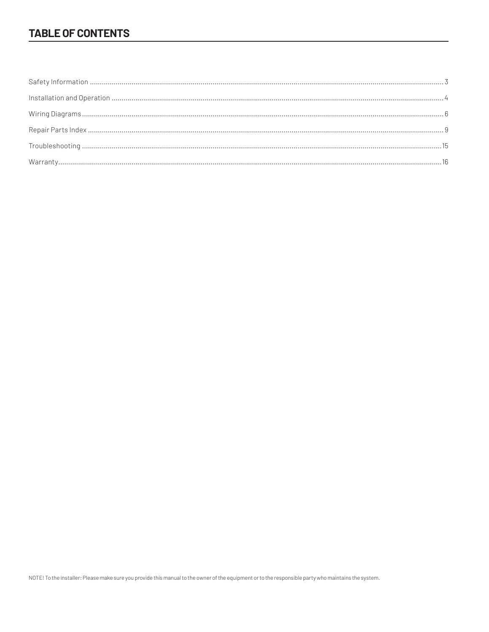# **TABLE OF CONTENTS**

NOTE! To the installer: Please make sure you provide this manual to the owner of the equipment or to the responsible party who maintains the system.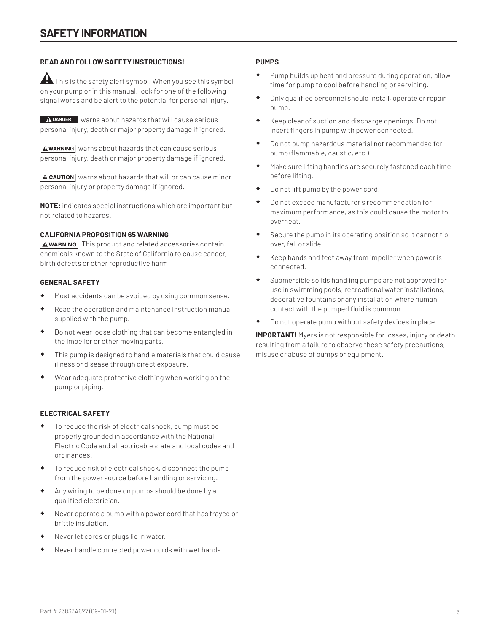# **READ AND FOLLOW SAFETY INSTRUCTIONS!**

 $\blacktriangle$  This is the safety alert symbol. When you see this symbol on your pump or in this manual, look for one of the following signal words and be alert to the potential for personal injury.

**A DANGER** warns about hazards that will cause serious personal injury, death or major property damage if ignored.

 $A$  warning warns about hazards that can cause serious personal injury, death or major property damage if ignored.

 $A$  CAUTION warns about hazards that will or can cause minor personal injury or property damage if ignored.

**NOTE:** indicates special instructions which are important but not related to hazards.

#### **CALIFORNIA PROPOSITION 65 WARNING**

**AWARNING** This product and related accessories contain chemicals known to the State of California to cause cancer, birth defects or other reproductive harm.

#### **GENERAL SAFETY**

- Most accidents can be avoided by using common sense.
- Read the operation and maintenance instruction manual supplied with the pump.
- Do not wear loose clothing that can become entangled in the impeller or other moving parts.
- This pump is designed to handle materials that could cause illness or disease through direct exposure.
- Wear adequate protective clothing when working on the pump or piping.

### **ELECTRICAL SAFETY**

- To reduce the risk of electrical shock, pump must be properly grounded in accordance with the National Electric Code and all applicable state and local codes and ordinances.
- To reduce risk of electrical shock, disconnect the pump from the power source before handling or servicing.
- Any wiring to be done on pumps should be done by a qualified electrician.
- Never operate a pump with a power cord that has frayed or brittle insulation.
- Never let cords or plugs lie in water.
- Never handle connected power cords with wet hands.

#### **PUMPS**

- Pump builds up heat and pressure during operation; allow time for pump to cool before handling or servicing.
- Only qualified personnel should install, operate or repair pump.
- Keep clear of suction and discharge openings. Do not insert fingers in pump with power connected.
- Do not pump hazardous material not recommended for pump (flammable, caustic, etc.).
- Make sure lifting handles are securely fastened each time before lifting.
- Do not lift pump by the power cord.
- Do not exceed manufacturer's recommendation for maximum performance, as this could cause the motor to overheat.
- Secure the pump in its operating position so it cannot tip over, fall or slide.
- Keep hands and feet away from impeller when power is connected.
- Submersible solids handling pumps are not approved for use in swimming pools, recreational water installations, decorative fountains or any installation where human contact with the pumped fluid is common.
- Do not operate pump without safety devices in place.

**IMPORTANT!** Myers is not responsible for losses, injury or death resulting from a failure to observe these safety precautions, misuse or abuse of pumps or equipment.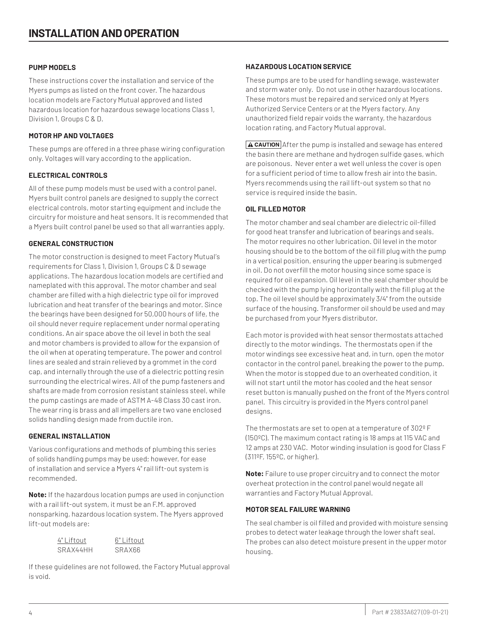## **PUMP MODELS**

These instructions cover the installation and service of the Myers pumps as listed on the front cover. The hazardous location models are Factory Mutual approved and listed hazardous location for hazardous sewage locations Class 1, Division 1, Groups C & D.

## **MOTOR HP AND VOLTAGES**

These pumps are offered in a three phase wiring configuration only. Voltages will vary according to the application.

# **ELECTRICAL CONTROLS**

All of these pump models must be used with a control panel. Myers built control panels are designed to supply the correct electrical controls, motor starting equipment and include the circuitry for moisture and heat sensors. It is recommended that a Myers built control panel be used so that all warranties apply.

# **GENERAL CONSTRUCTION**

The motor construction is designed to meet Factory Mutual's requirements for Class 1, Division 1, Groups C & D sewage applications. The hazardous location models are certified and nameplated with this approval. The motor chamber and seal chamber are filled with a high dielectric type oil for improved lubrication and heat transfer of the bearings and motor. Since the bearings have been designed for 50,000 hours of life, the oil should never require replacement under normal operating conditions. An air space above the oil level in both the seal and motor chambers is provided to allow for the expansion of the oil when at operating temperature. The power and control lines are sealed and strain relieved by a grommet in the cord cap, and internally through the use of a dielectric potting resin surrounding the electrical wires. All of the pump fasteners and shafts are made from corrosion resistant stainless steel, while the pump castings are made of ASTM A-48 Class 30 cast iron. The wear ring is brass and all impellers are two vane enclosed solids handling design made from ductile iron.

### **GENERAL INSTALLATION**

Various configurations and methods of plumbing this series of solids handling pumps may be used; however, for ease of installation and service a Myers 4" rail lift-out system is recommended.

**Note:** If the hazardous location pumps are used in conjunction with a rail lift-out system, it must be an F.M. approved nonsparking, hazardous location system. The Myers approved lift-out models are:

| 4" Liftout | 6" Liftout    |
|------------|---------------|
| SRAX44HH   | <b>SRAX66</b> |

If these guidelines are not followed, the Factory Mutual approval is void.

## **HAZARDOUS LOCATION SERVICE**

These pumps are to be used for handling sewage, wastewater and storm water only. Do not use in other hazardous locations. These motors must be repaired and serviced only at Myers Authorized Service Centers or at the Myers factory. Any unauthorized field repair voids the warranty, the hazardous location rating, and Factory Mutual approval.

 $\sqrt{\text{A CAUTION}}$  After the pump is installed and sewage has entered the basin there are methane and hydrogen sulfide gases, which are poisonous. Never enter a wet well unless the cover is open for a sufficient period of time to allow fresh air into the basin. Myers recommends using the rail lift-out system so that no service is required inside the basin.

# **OIL FILLED MOTOR**

The motor chamber and seal chamber are dielectric oil-filled for good heat transfer and lubrication of bearings and seals. The motor requires no other lubrication. Oil level in the motor housing should be to the bottom of the oil fill plug with the pump in a vertical position, ensuring the upper bearing is submerged in oil. Do not overfill the motor housing since some space is required for oil expansion. Oil level in the seal chamber should be checked with the pump lying horizontally with the fill plug at the top. The oil level should be approximately 3/4" from the outside surface of the housing. Transformer oil should be used and may be purchased from your Myers distributor.

Each motor is provided with heat sensor thermostats attached directly to the motor windings. The thermostats open if the motor windings see excessive heat and, in turn, open the motor contactor in the control panel, breaking the power to the pump. When the motor is stopped due to an overheated condition, it will not start until the motor has cooled and the heat sensor reset button is manually pushed on the front of the Myers control panel. This circuitry is provided in the Myers control panel designs.

The thermostats are set to open at a temperature of 302º F (150ºC). The maximum contact rating is 18 amps at 115 VAC and 12 amps at 230 VAC. Motor winding insulation is good for Class F (311ºF, 155ºC, or higher).

**Note:** Failure to use proper circuitry and to connect the motor overheat protection in the control panel would negate all warranties and Factory Mutual Approval.

### **MOTOR SEAL FAILURE WARNING**

The seal chamber is oil filled and provided with moisture sensing probes to detect water leakage through the lower shaft seal. The probes can also detect moisture present in the upper motor housing.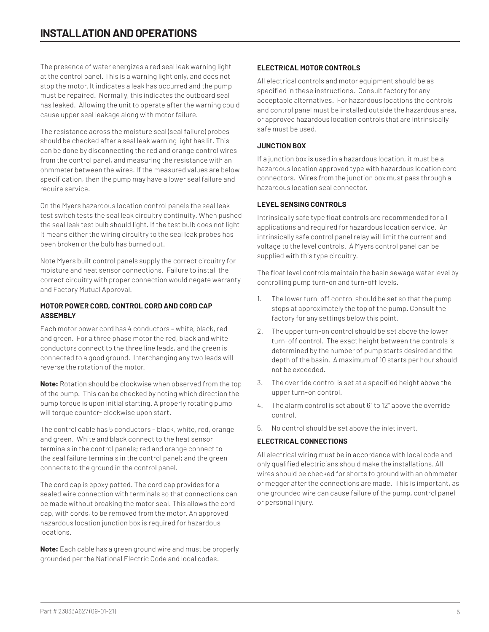The presence of water energizes a red seal leak warning light at the control panel. This is a warning light only, and does not stop the motor. It indicates a leak has occurred and the pump must be repaired. Normally, this indicates the outboard seal has leaked. Allowing the unit to operate after the warning could cause upper seal leakage along with motor failure.

The resistance across the moisture seal (seal failure) probes should be checked after a seal leak warning light has lit. This can be done by disconnecting the red and orange control wires from the control panel, and measuring the resistance with an ohmmeter between the wires. If the measured values are below specification, then the pump may have a lower seal failure and require service.

On the Myers hazardous location control panels the seal leak test switch tests the seal leak circuitry continuity. When pushed the seal leak test bulb should light. If the test bulb does not light it means either the wiring circuitry to the seal leak probes has been broken or the bulb has burned out.

Note Myers built control panels supply the correct circuitry for moisture and heat sensor connections. Failure to install the correct circuitry with proper connection would negate warranty and Factory Mutual Approval.

# **MOTOR POWER CORD, CONTROL CORD AND CORD CAP ASSEMBLY**

Each motor power cord has 4 conductors – white, black, red and green. For a three phase motor the red, black and white conductors connect to the three line leads, and the green is connected to a good ground. Interchanging any two leads will reverse the rotation of the motor.

**Note:** Rotation should be clockwise when observed from the top of the pump. This can be checked by noting which direction the pump torque is upon initial starting. A properly rotating pump will torque counter- clockwise upon start.

The control cable has 5 conductors – black, white, red, orange and green. White and black connect to the heat sensor terminals in the control panels; red and orange connect to the seal failure terminals in the control panel; and the green connects to the ground in the control panel.

The cord cap is epoxy potted. The cord cap provides for a sealed wire connection with terminals so that connections can be made without breaking the motor seal. This allows the cord cap, with cords, to be removed from the motor. An approved hazardous location junction box is required for hazardous locations.

**Note:** Each cable has a green ground wire and must be properly grounded per the National Electric Code and local codes.

# **ELECTRICAL MOTOR CONTROLS**

All electrical controls and motor equipment should be as specified in these instructions. Consult factory for any acceptable alternatives. For hazardous locations the controls and control panel must be installed outside the hazardous area, or approved hazardous location controls that are intrinsically safe must be used.

# **JUNCTION BOX**

If a junction box is used in a hazardous location, it must be a hazardous location approved type with hazardous location cord connectors. Wires from the junction box must pass through a hazardous location seal connector.

# **LEVEL SENSING CONTROLS**

Intrinsically safe type float controls are recommended for all applications and required for hazardous location service. An intrinsically safe control panel relay will limit the current and voltage to the level controls. A Myers control panel can be supplied with this type circuitry.

The float level controls maintain the basin sewage water level by controlling pump turn-on and turn-off levels.

- 1. The lower turn-off control should be set so that the pump stops at approximately the top of the pump. Consult the factory for any settings below this point.
- 2. The upper turn-on control should be set above the lower turn-off control. The exact height between the controls is determined by the number of pump starts desired and the depth of the basin. A maximum of 10 starts per hour should not be exceeded.
- 3. The override control is set at a specified height above the upper turn-on control.
- 4. The alarm control is set about 6" to 12" above the override control.
- 5. No control should be set above the inlet invert.

# **ELECTRICAL CONNECTIONS**

All electrical wiring must be in accordance with local code and only qualified electricians should make the installations. All wires should be checked for shorts to ground with an ohmmeter or megger after the connections are made. This is important, as one grounded wire can cause failure of the pump, control panel or personal injury.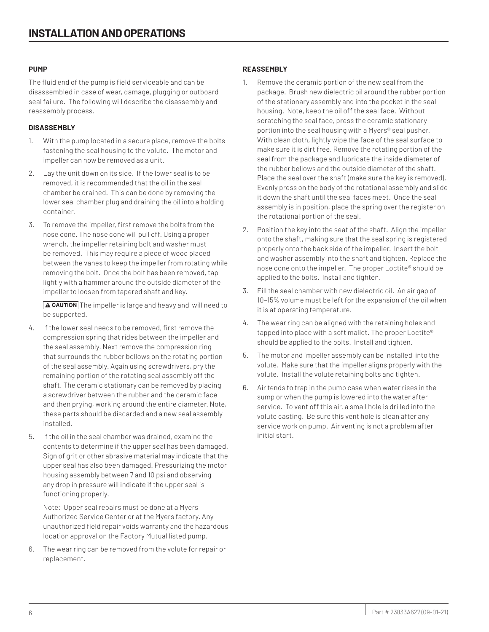#### **PUMP**

The fluid end of the pump is field serviceable and can be disassembled in case of wear, damage, plugging or outboard seal failure. The following will describe the disassembly and reassembly process.

# **DISASSEMBLY**

- 1. With the pump located in a secure place, remove the bolts fastening the seal housing to the volute. The motor and impeller can now be removed as a unit.
- 2. Lay the unit down on its side. If the lower seal is to be removed, it is recommended that the oil in the seal chamber be drained. This can be done by removing the lower seal chamber plug and draining the oil into a holding container.
- 3. To remove the impeller, first remove the bolts from the nose cone. The nose cone will pull off. Using a proper wrench, the impeller retaining bolt and washer must be removed. This may require a piece of wood placed between the vanes to keep the impeller from rotating while removing the bolt. Once the bolt has been removed, tap lightly with a hammer around the outside diameter of the impeller to loosen from tapered shaft and key.

 $\sqrt{\text{A CAUTION}}$  The impeller is large and heavy and will need to be supported.

- 4. If the lower seal needs to be removed, first remove the compression spring that rides between the impeller and the seal assembly. Next remove the compression ring that surrounds the rubber bellows on the rotating portion of the seal assembly. Again using screwdrivers, pry the remaining portion of the rotating seal assembly off the shaft. The ceramic stationary can be removed by placing a screwdriver between the rubber and the ceramic face and then prying, working around the entire diameter. Note, these parts should be discarded and a new seal assembly installed.
- 5. If the oil in the seal chamber was drained, examine the contents to determine if the upper seal has been damaged. Sign of grit or other abrasive material may indicate that the upper seal has also been damaged. Pressurizing the motor housing assembly between 7 and 10 psi and observing any drop in pressure will indicate if the upper seal is functioning properly.

Note: Upper seal repairs must be done at a Myers Authorized Service Center or at the Myers factory. Any unauthorized field repair voids warranty and the hazardous location approval on the Factory Mutual listed pump.

6. The wear ring can be removed from the volute for repair or replacement.

# **REASSEMBLY**

- 1. Remove the ceramic portion of the new seal from the package. Brush new dielectric oil around the rubber portion of the stationary assembly and into the pocket in the seal housing. Note, keep the oil off the seal face. Without scratching the seal face, press the ceramic stationary portion into the seal housing with a Myers® seal pusher. With clean cloth, lightly wipe the face of the seal surface to make sure it is dirt free. Remove the rotating portion of the seal from the package and lubricate the inside diameter of the rubber bellows and the outside diameter of the shaft. Place the seal over the shaft (make sure the key is removed). Evenly press on the body of the rotational assembly and slide it down the shaft until the seal faces meet. Once the seal assembly is in position, place the spring over the register on the rotational portion of the seal.
- 2. Position the key into the seat of the shaft. Align the impeller onto the shaft, making sure that the seal spring is registered properly onto the back side of the impeller. Insert the bolt and washer assembly into the shaft and tighten. Replace the nose cone onto the impeller. The proper Loctite® should be applied to the bolts. Install and tighten.
- 3. Fill the seal chamber with new dielectric oil. An air gap of 10–15% volume must be left for the expansion of the oil when it is at operating temperature.
- 4. The wear ring can be aligned with the retaining holes and tapped into place with a soft mallet. The proper Loctite® should be applied to the bolts. Install and tighten.
- 5. The motor and impeller assembly can be installed into the volute. Make sure that the impeller aligns properly with the volute. Install the volute retaining bolts and tighten.
- 6. Air tends to trap in the pump case when water rises in the sump or when the pump is lowered into the water after service. To vent off this air, a small hole is drilled into the volute casting. Be sure this vent hole is clean after any service work on pump. Air venting is not a problem after initial start.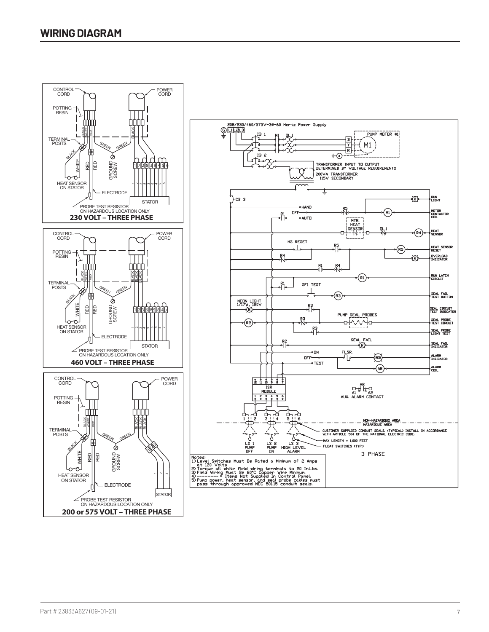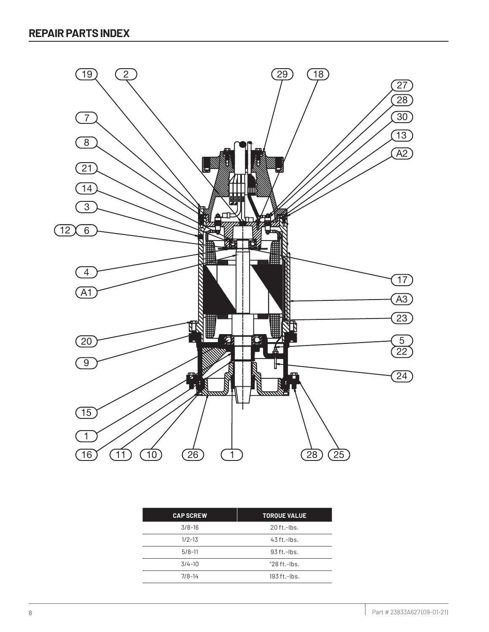

| <b>CAP SCREW</b> | <b>TORQUE VALUE</b> |
|------------------|---------------------|
| $3/8-16$         | $20$ ft.-lbs.       |
| $1/2 - 13$       | $43$ ft.-lbs.       |
| $5/8-11$         | $93$ ft.-lbs.       |
| $3/4 - 10$       | $"28 ft.-lbs.$      |
| $7/8 - 14$       | $193$ ft.- $hs.$    |
|                  |                     |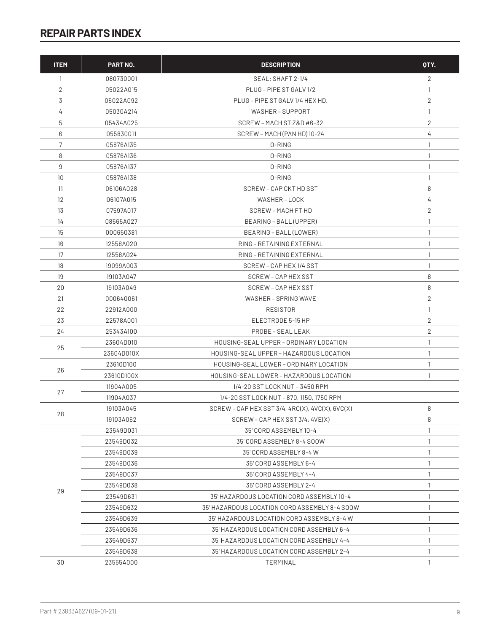| <b>ITEM</b>       | <b>PART NO.</b> | <b>DESCRIPTION</b>                                | OTY.           |
|-------------------|-----------------|---------------------------------------------------|----------------|
| 1                 | 080730001       | SEAL; SHAFT 2-1/4                                 | 2              |
| 2                 | 05022A015       | PLUG - PIPE ST GALV 1/2                           | 1              |
| 3                 | 05022A092       | PLUG - PIPE ST GALV 1/4 HEX HD.                   | $\overline{2}$ |
| 4                 | 05030A214       | WASHER-SUPPORT                                    | 1              |
| 5                 | 05434A025       | SCREW - MACH ST Z&D #6-32                         | $\overline{2}$ |
| 6                 | 055830011       | SCREW - MACH (PAN HD) 10-24                       | 4              |
| 7                 | 05876A135       | 0-RING                                            | 1              |
| 8                 | 05876A136       | 0-RING                                            | 1              |
| 9                 | 05876A137       | 0-RING                                            | 1              |
| 10 <sup>°</sup>   | 05876A138       | 0-RING                                            | $\mathbf{1}$   |
| 11                | 06106A028       | SCREW - CAP CKT HD SST                            | 8              |
| $12 \overline{ }$ | 06107A015       | WASHER-LOCK                                       | 4              |
| 13                | 07597A017       | SCREW - MACH FT HD                                | 2              |
| 14                | 08565A027       | BEARING - BALL (UPPER)                            | 1              |
| 15                | 000650381       | BEARING - BALL (LOWER)                            | 1              |
| 16                | 12558A020       | RING - RETAINING EXTERNAL                         | 1              |
| 17                | 12558A024       | RING - RETAINING EXTERNAL                         | 1              |
| 18                | 19099A003       | SCREW - CAP HEX 1/4 SST                           | 1              |
| 19                | 19103A047       | SCREW - CAP HEX SST                               | 8              |
| 20                | 19103A049       | SCREW - CAP HEX SST                               | 8              |
| 21                | 000640061       | WASHER - SPRING WAVE                              | $\overline{2}$ |
| 22                | 22912A000       | <b>RESISTOR</b>                                   | 1              |
| 23                | 22578A001       | ELECTRODE 5-15 HP                                 | 2              |
| 24                | 25343A100       | PROBE - SEAL LEAK                                 | $\overline{2}$ |
|                   | 23604D010       | HOUSING-SEAL UPPER - ORDINARY LOCATION            | 1              |
| 25                | 23604D010X      | HOUSING-SEAL UPPER - HAZARDOUS LOCATION           | 1              |
|                   | 23610D100       | HOUSING-SEAL LOWER - ORDINARY LOCATION            | 1              |
| 26                | 23610D100X      | HOUSING-SEAL LOWER - HAZARDOUS LOCATION           | 1              |
|                   | 11904A005       | 1/4-20 SST LOCK NUT - 3450 RPM                    |                |
| 27                | 11904A037       | 1/4-20 SST LOCK NUT - 870, 1150, 1750 RPM         |                |
| 28                | 19103A045       | $SCREW - CAP HEX SST 3/4, 4RC(X), 4VC(X), 6VC(X)$ | 8              |
|                   | 19103A062       | SCREW - CAP HEX SST 3/4, 4VE(X)                   | 8              |
|                   | 23549D031       | 35' CORD ASSEMBLY 10-4                            | 1              |
|                   | 23549D032       | 35' CORD ASSEMBLY 8-4 SOOW                        | 1              |
|                   | 23549D039       | 35' CORD ASSEMBLY 8-4 W                           | 1              |
|                   | 23549D036       | 35' CORD ASSEMBLY 6-4                             | 1              |
|                   | 23549D037       | 35' CORD ASSEMBLY 4-4                             | 1              |
| 29                | 23549D038       | 35' CORD ASSEMBLY 2-4                             | 1              |
|                   | 23549D631       | 35' HAZARDOUS LOCATION CORD ASSEMBLY 10-4         | 1              |
|                   | 23549D632       | 35' HAZARDOUS LOCATION CORD ASSEMBLY 8-4 SOOW     | 1              |
|                   | 23549D639       | 35' HAZARDOUS LOCATION CORD ASSEMBLY 8-4 W        | 1              |
|                   | 23549D636       | 35' HAZARDOUS LOCATION CORD ASSEMBLY 6-4          | 1              |
|                   | 23549D637       | 35' HAZARDOUS LOCATION CORD ASSEMBLY 4-4          | 1              |
|                   | 23549D638       | 35' HAZARDOUS LOCATION CORD ASSEMBLY 2-4          | 1              |
| 30                | 23555A000       | TERMINAL                                          | 1              |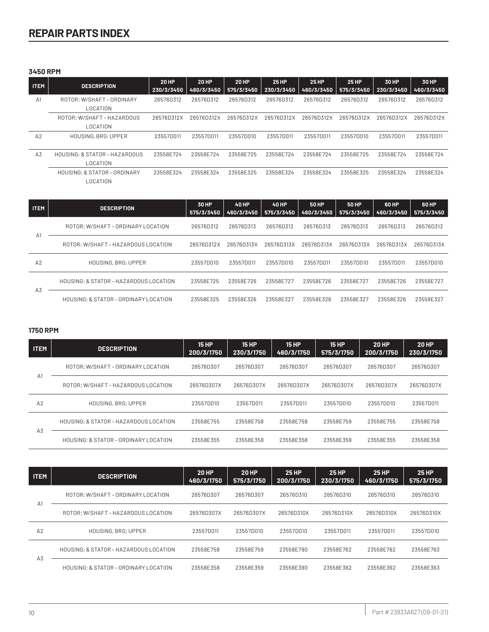# **3450 RPM**

| <b>ITEM</b>    | <b>DESCRIPTION</b>                        | <b>20 HP</b><br>230/3/3450 | <b>20 HP</b><br>460/3/3450 | <b>20 HP</b><br>575/3/3450 | <b>25 HP</b><br>230/3/3450 | <b>25 HP</b><br>460/3/3450 | <b>25 HP</b><br>575/3/3450 | 30 HP<br>230/3/3450 | 30 HP<br>460/3/3450 |
|----------------|-------------------------------------------|----------------------------|----------------------------|----------------------------|----------------------------|----------------------------|----------------------------|---------------------|---------------------|
| A <sub>1</sub> | ROTOR: W/SHAFT-ORDINARY<br>LOCATION       | 26576D312                  | 26576D312                  | 26576D312                  | 26576D312                  | 26576D312                  | 26576D312                  | 26576D312           | 26576D312           |
|                | ROTOR: W/SHAFT - HAZARDOUS<br>LOCATION    | 26576D312X                 | 26576D312X                 | 26576D312X                 | 26576D312X                 | 26576D312X                 | 26576D312X                 | 26576D312X          | 26576D312X          |
| A2             | HOUSING, BRG; UPPER                       | 23557D011                  | 235570011                  | 23557D010                  | 23557D011                  | 23557D011                  | 235570010                  | 23557D011           | 23557D011           |
| A <sub>3</sub> | HOUSING: & STATOR - HAZARDOUS<br>LOCATION | 23558E724                  | 23558E724                  | 23558E725                  | 23558E724                  | 23558E724                  | 23558E725                  | 23558E724           | 23558E724           |
|                | HOUSING: & STATOR - ORDINARY<br>LOCATION  | 23558E324                  | 23558E324                  | 23558E325                  | 23558E324                  | 23558E324                  | 23558E325                  | 23558E324           | 23558E324           |

| <b>ITEM</b>    | <b>DESCRIPTION</b>                     | 30 HP<br>575/3/3450 | <b>40 HP</b><br>460/3/3450 | <b>40 HP</b><br>575/3/3450 | <b>50 HP</b><br>460/3/3450 | <b>50 HP</b><br>575/3/3450 | <b>60 HP</b><br>460/3/3450 | 60 HP<br>575/3/3450 |
|----------------|----------------------------------------|---------------------|----------------------------|----------------------------|----------------------------|----------------------------|----------------------------|---------------------|
|                | ROTOR: W/SHAFT - ORDINARY LOCATION     | 26576D312           | 26576D313                  | 26576D313                  | 26576D313                  | 26576D313                  | 26576D313                  | 26576D313           |
| $\Delta$ 1     | ROTOR: W/SHAFT - HAZARDOUS LOCATION    | 26576D312X          | 26576D313X                 | 26576D313X                 | 26576D313X                 | 26576D313X                 | 26576D313X                 | 26576D313X          |
| A <sub>2</sub> | <b>HOUSING, BRG: UPPER</b>             | 23557D010           | 23557D011                  | 23557D010                  | 23557D011                  | 23557D010                  | 23557D011                  | 23557D010           |
|                | HOUSING: & STATOR - HAZARDOUS LOCATION | 23558E725           | 23558E726                  | 23558E727                  | 23558E726                  | 23558E727                  | 23558E726                  | 23558E727           |
| A <sub>3</sub> | HOUSING: & STATOR - ORDINARY LOCATION  | 23558E325           | 23558E326                  | 23558E327                  | 23558E326                  | 23558E327                  | 23558E326                  | 23558E327           |

# **1750 RPM**

| <b>ITEM</b>    | <b>DESCRIPTION</b>                     | <b>15 HP</b><br>200/3/1750 | <b>15 HP</b><br>230/3/1750 | <b>15 HP</b><br>460/3/1750 | <b>15 HP</b><br>575/3/1750 | <b>20 HP</b><br>200/3/1750 | <b>20 HP</b><br>230/3/1750 |
|----------------|----------------------------------------|----------------------------|----------------------------|----------------------------|----------------------------|----------------------------|----------------------------|
| A1             | ROTOR: W/SHAFT - ORDINARY LOCATION     | 26576D307                  | 26576D307                  | 26576D307                  | 26576D307                  | 26576D307                  | 26576D307                  |
|                | ROTOR: W/SHAFT - HAZARDOUS LOCATION    | 26576D307X                 | 26576D307X                 | 26576D307X                 | 26576D307X                 | 26576D307X                 | 26576D307X                 |
| A <sub>2</sub> | HOUSING, BRG; UPPER                    | 23557D010                  | 235570011                  | 23557D011                  | 23557D010                  | 235570010                  | 23557D011                  |
|                | HOUSING: & STATOR - HAZARDOUS LOCATION | 23558E755                  | 23558E758                  | 23558E758                  | 23558E759                  | 23558E755                  | 23558E758                  |
| A3             | HOUSING: & STATOR - ORDINARY LOCATION  | 23558E355                  | 23558E358                  | 23558E358                  | 23558E359                  | 23558E355                  | 23558E358                  |

| <b>ITEM</b>    | <b>DESCRIPTION</b>                     | <b>20 HP</b><br>460/3/1750 | <b>20 HP</b><br>575/3/1750 | <b>25 HP</b><br>200/3/1750 | <b>25 HP</b><br>230/3/1750 | <b>25 HP</b><br>460/3/1750 | <b>25 HP</b><br>575/3/1750 |
|----------------|----------------------------------------|----------------------------|----------------------------|----------------------------|----------------------------|----------------------------|----------------------------|
|                | ROTOR: W/SHAFT - ORDINARY LOCATION     | 26576D307                  | 26576D307                  | 26576D310                  | 26576D310                  | 26576D310                  | 26576D310                  |
| A1             | ROTOR: W/SHAFT - HAZARDOUS LOCATION    | 26576D307X                 | 26576D307X                 | 26576D310X                 | 26576D310X                 | 26576D310X                 | 26576D310X                 |
| A <sub>2</sub> | HOUSING, BRG; UPPER                    | 23557D011                  | 235570010                  | 23557D010                  | 23557D011                  | 23557D011                  | 23557D010                  |
|                | HOUSING: & STATOR - HAZARDOUS LOCATION | 23558E758                  | 23558E759                  | 23558E790                  | 23558E762                  | 23558E762                  | 23558E763                  |
| A3             | HOUSING: & STATOR - ORDINARY LOCATION  | 23558E358                  | 23558E359                  | 23558E390                  | 23558E362                  | 23558E362                  | 23558E363                  |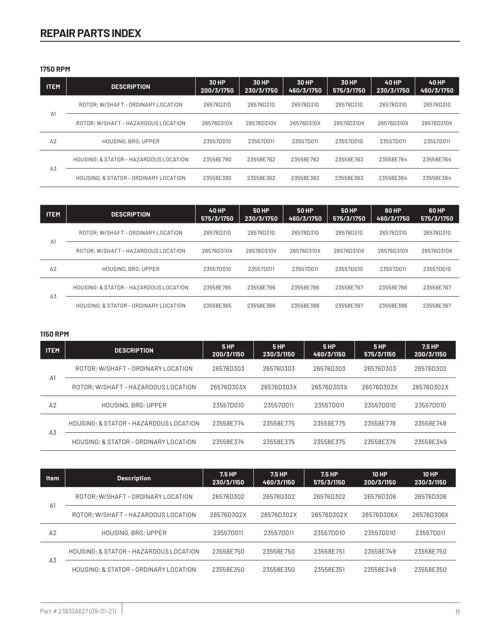**1750 RPM**

| <b>ITEM</b> | <b>DESCRIPTION</b>                     | 30 HP<br>200/3/1750 | 30 HP<br>230/3/1750 | 30 HP<br>460/3/1750 | <b>30 HP</b><br>575/3/1750 | <b>40 HP</b><br>230/3/1750 | <b>40 HP</b><br>460/3/1750 |
|-------------|----------------------------------------|---------------------|---------------------|---------------------|----------------------------|----------------------------|----------------------------|
|             | ROTOR: W/SHAFT - ORDINARY LOCATION     | 26576D310           | 26576D310           | 26576D310           | 26576D310                  | 26576D310                  | 26576D310                  |
| A1          | ROTOR: W/SHAFT - HAZARDOUS LOCATION    | 26576D310X          | 26576D310X          | 26576D310X          | 26576D310X                 | 26576D310X                 | 26576D310X                 |
| A2          | HOUSING, BRG; UPPER                    | 23557D010           | 23557D011           | 23557D011           | 235570010                  | 235570011                  | 23557D011                  |
|             | HOUSING: & STATOR - HAZARDOUS LOCATION | 23558E790           | 23558E762           | 23558E762           | 23558E763                  | 23558E764                  | 23558E764                  |
| A3          | HOUSING: & STATOR - ORDINARY LOCATION  | 23558E390           | 23558E362           | 23558E362           | 23558E363                  | 23558E364                  | 23558E364                  |

| <b>ITEM</b>    | <b>DESCRIPTION</b>                     | <b>40 HP</b><br>575/3/1750 | 50 HP<br>230/3/1750 | 50 HP<br>460/3/1750 | 50 HP<br>575/3/1750 | 60 HP<br>460/3/1750 | 60 HP<br>575/3/1750 |
|----------------|----------------------------------------|----------------------------|---------------------|---------------------|---------------------|---------------------|---------------------|
|                | ROTOR: W/SHAFT - ORDINARY LOCATION     | 26576D310                  | 26576D310           | 26576D310           | 26576D310           | 26576D310           | 26576D310           |
| A1             | ROTOR: W/SHAFT - HAZARDOUS LOCATION    | 26576D310X                 | 26576D310X          | 26576D310X          | 26576D310X          | 26576D310X          | 26576D310X          |
| A2             | HOUSING, BRG; UPPER                    | 23557D010                  | 23557D011           | 23557D011           | 23557D010           | 23557D011           | 235570010           |
|                | HOUSING: & STATOR - HAZARDOUS LOCATION | 23558E765                  | 23558E766           | 23558E766           | 23558E767           | 23558E766           | 23558E767           |
| A <sub>3</sub> | HOUSING: & STATOR - ORDINARY LOCATION  | 23558E365                  | 23558E366           | 23558E366           | 23558E367           | 23558E366           | 23558E367           |

# **1150 RPM**

| <b>ITEM</b>    | <b>DESCRIPTION</b>                     | 5 HP<br>200/3/1150 | 5 HP<br>230/3/1150 | 5HP<br>460/3/1150 | 5 HP<br>575/3/1150 | 7.5 HP<br>200/3/1150 |
|----------------|----------------------------------------|--------------------|--------------------|-------------------|--------------------|----------------------|
|                | ROTOR: W/SHAFT - ORDINARY LOCATION     | 26576D303          | 26576D303          | 26576D303         | 26576D303          | 26576D302            |
| A1             | ROTOR: W/SHAFT - HAZARDOUS LOCATION    | 26576D303X         | 26576D303X         | 26576D303X        | 26576D303X         | 26576D302X           |
| A <sub>2</sub> | HOUSING, BRG: UPPER                    | 23557D010          | 23557D011          | 23557D011         | 23557D010          | 23557D010            |
| A <sub>3</sub> | HOUSING: & STATOR - HAZARDOUS LOCATION | 23558E774          | 23558E775          | 23558E775         | 23558E776          | 23558E749            |
|                | HOUSING: & STATOR - ORDINARY LOCATION  | 23558E374          | 23558E375          | 23558E375         | 23558E376          | 23558E349            |

| <b>Item</b>    | <b>Description</b>                     | 7.5 HP<br>230/3/1150 | 7.5 HP<br>460/3/1150 | 7.5 HP<br>575/3/1150 | <b>10 HP</b><br>200/3/1150 | <b>10 HP</b><br>230/3/1150 |
|----------------|----------------------------------------|----------------------|----------------------|----------------------|----------------------------|----------------------------|
|                | ROTOR; W/SHAFT - ORDINARY LOCATION     | 26576D302            | 26576D302            | 26576D302            | 26576D306                  | 26576D306                  |
| A <sup>1</sup> | ROTOR: W/SHAFT - HAZARDOUS LOCATION    | 26576D302X           | 26576D302X           | 26576D302X           | 26576D306X                 | 26576D306X                 |
| A2             | HOUSING, BRG: UPPER                    | 23557D011            | 23557D011            | 23557D010            | 23557D010                  | 23557D011                  |
| A <sub>3</sub> | HOUSING: & STATOR - HAZARDOUS LOCATION | 23558E750            | 23558E750            | 23558E751            | 23558E749                  | 23558E750                  |
|                | HOUSING: & STATOR - ORDINARY LOCATION  | 23558E350            | 23558E350            | 23558E351            | 23558E349                  | 23558E350                  |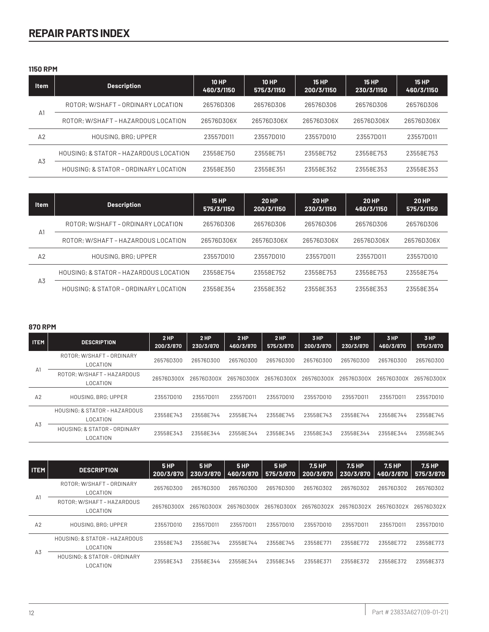**1150 RPM**

| <b>Item</b>    | <b>Description</b>                     | <b>10 HP</b><br>460/3/1150 | 10 HP<br>575/3/1150 | <b>15 HP</b><br>200/3/1150 | <b>15 HP</b><br>230/3/1150 | <b>15 HP</b><br>460/3/1150 |
|----------------|----------------------------------------|----------------------------|---------------------|----------------------------|----------------------------|----------------------------|
| A <sub>1</sub> | ROTOR: W/SHAFT - ORDINARY LOCATION     | 26576D306                  | 26576D306           | 265760306                  | 26576D306                  | 265760306                  |
|                | ROTOR: W/SHAFT - HAZARDOUS LOCATION    | 26576D306X                 | 26576D306X          | 26576D306X                 | 26576D306X                 | 26576D306X                 |
| A2             | HOUSING, BRG: UPPER                    | 23557D011                  | 23557D010           | 23557D010                  | 23557D011                  | 23557D011                  |
| A3             | HOUSING: & STATOR - HAZARDOUS LOCATION | 23558E750                  | 23558E751           | 23558E752                  | 23558E753                  | 23558E753                  |
|                | HOUSING: & STATOR - ORDINARY LOCATION  | 23558E350                  | 23558F351           | 23558F352                  | 23558E353                  | 23558F353                  |

| <b>Item</b>    | <b>Description</b>                     | <b>15 HP</b><br>575/3/1150 | <b>20 HP</b><br>200/3/1150 | <b>20 HP</b><br>230/3/1150 | <b>20 HP</b><br>460/3/1150 | <b>20 HP</b><br>575/3/1150 |
|----------------|----------------------------------------|----------------------------|----------------------------|----------------------------|----------------------------|----------------------------|
| $\Delta$ 1     | ROTOR; W/SHAFT - ORDINARY LOCATION     | 26576D306                  | 26576D306                  | 26576D306                  | 26576D306                  | 26576D306                  |
|                | ROTOR: W/SHAFT - HAZARDOUS LOCATION    | 26576D306X                 | 26576D306X                 | 26576D306X                 | 26576D306X                 | 26576D306X                 |
| A2             | <b>HOUSING, BRG: UPPER</b>             | 23557D010                  | 23557D010                  | 23557D011                  | 23557D011                  | 23557D010                  |
| A <sub>3</sub> | HOUSING; & STATOR - HAZARDOUS LOCATION | 23558F754                  | 23558F752                  | 23558F753                  | 23558F753                  | 23558F754                  |
|                | HOUSING: & STATOR - ORDINARY LOCATION  | 23558F354                  | 23558F352                  | 23558F353                  | 23558F353                  | 23558F354                  |

#### **870 RPM**

| <b>ITEM</b>    | <b>DESCRIPTION</b>                           | 2 HP<br>200/3/870 | 2HP<br>230/3/870 | 2HP<br>460/3/870 | 2HP<br>575/3/870 | 3 HP<br>200/3/870 | 3 HP<br>230/3/870 | 3 HP<br>460/3/870 | 3 HP<br>575/3/870 |
|----------------|----------------------------------------------|-------------------|------------------|------------------|------------------|-------------------|-------------------|-------------------|-------------------|
| A <sub>1</sub> | ROTOR: W/SHAFT - ORDINARY<br><b>LOCATION</b> | 26576D300         | 26576D300        | 26576D300        | 26576D300        | 26576D300         | 26576D300         | 26576D300         | 26576D300         |
|                | ROTOR: W/SHAFT-HAZARDOUS<br>LOCATION         | 26576D300X        | 26576D300X       | 26576D300X       | 26576D300X       | 26576D300X        | 26576D300X        | 26576D300X        | 26576D300X        |
| A2             | <b>HOUSING, BRG: UPPER</b>                   | 23557D010         | 23557D011        | 235570011        | 23557D010        | 235570010         | 235570011         | 23557D011         | 235570010         |
| A3             | HOUSING: & STATOR - HAZARDOUS<br>LOCATION    | 23558E743         | 23558E744        | 23558E744        | 23558E745        | 23558E743         | 23558E744         | 23558E744         | 23558E745         |
|                | HOUSING: & STATOR - ORDINARY<br>LOCATION     | 23558E343         | 23558E344        | 23558E344        | 23558E345        | 23558E343         | 23558E344         | 23558E344         | 23558E345         |

| <b>ITEM</b>    | <b>DESCRIPTION</b>                               | 5HP<br>200/3/870 | 5HP<br>230/3/870 | 5HP<br>460/3/870 | 5 <sub>HP</sub><br>575/3/870 | 7.5 HP<br>200/3/870 | 7.5 HP<br>230/3/870 | 7.5 HP<br>460/3/870 | 7.5 HP<br>575/3/870 |
|----------------|--------------------------------------------------|------------------|------------------|------------------|------------------------------|---------------------|---------------------|---------------------|---------------------|
| A <sup>1</sup> | ROTOR: W/SHAFT - ORDINARY<br><b>LOCATION</b>     | 26576D300        | 26576D300        | 26576D300        | 26576D300                    | 26576D302           | 26576D302           | 26576D302           | 26576D302           |
|                | ROTOR: W/SHAFT-HAZARDOUS<br><b>LOCATION</b>      | 26576D300X       | 26576D300X       | 26576D300X       | 26576D300X                   | 26576D302X          | 26576D302X          | 26576D302X          | 26576D302X          |
| A <sub>2</sub> | HOUSING, BRG; UPPER                              | 235570010        | 23557D011        | 23557D011        | 23557D010                    | 23557D010           | 23557D011           | 235570011           | 235570010           |
| A <sub>3</sub> | HOUSING: & STATOR - HAZARDOUS<br><b>LOCATION</b> | 23558E743        | 23558E744        | 23558E744        | 23558E745                    | 23558E771           | 23558E772           | 23558E772           | 23558E773           |
|                | HOUSING: & STATOR - ORDINARY<br>LOCATION         | 23558E343        | 23558E344        | 23558E344        | 23558E345                    | 23558E371           | 23558E372           | 23558E372           | 23558E373           |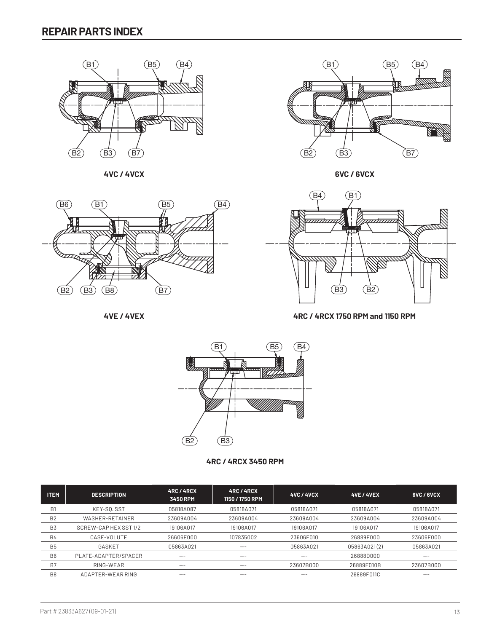

**4VC / 4VCX 6VC / 6VCX**  $B_1 B_2 B_3 B_4$ 



**4VE / 4VEX**





B2 B3 B8 B7 B2 B3 B7 **4RC / 4RCX 1750 RPM and 1150 RPM**



**4RC / 4RCX 3450 RPM**

| <b>ITEM</b>    | <b>DESCRIPTION</b>   | <b>4RC/4RCX</b><br><b>3450 RPM</b> | <b>4RC/4RCX</b><br>1150 / 1750 RPM | <b>4VC / 4VCX</b> | <b>4VE / 4VEX</b> | <b>BVC/BVCX</b> |
|----------------|----------------------|------------------------------------|------------------------------------|-------------------|-------------------|-----------------|
| B <sub>1</sub> | KEY-SQ.SST           | 05818A087                          | 05818A071                          | 05818A071         | 05818A071         | 05818A071       |
| B <sub>2</sub> | WASHER-RETAINER      | 23609A004                          | 23609A004                          | 23609A004         | 23609A004         | 23609A004       |
| B <sub>3</sub> | SCREW-CAPHEX SST 1/2 | 19106A017                          | 19106A017                          | 19106A017         | 19106A017         | 19106A017       |
| <b>B4</b>      | CASE-VOLUTE          | 26606E000                          | 107835002                          | 23606F010         | 26889F000         | 23606F000       |
| <b>B5</b>      | GASKET               | 05863A021                          | --                                 | 05863A021         | 05863A021(2)      | 058634021       |
| B <sub>6</sub> | PLATE-ADAPTER/SPACER | --                                 | $- -$                              | --                | 26888D000         | --              |
| B <sub>7</sub> | RING-WEAR            | --                                 | --                                 | 23607B000         | 26889F010B        | 23607B000       |
| B <sub>8</sub> | ADAPTER-WEAR RING    | --                                 | --                                 | --                | 26889F011C        | --              |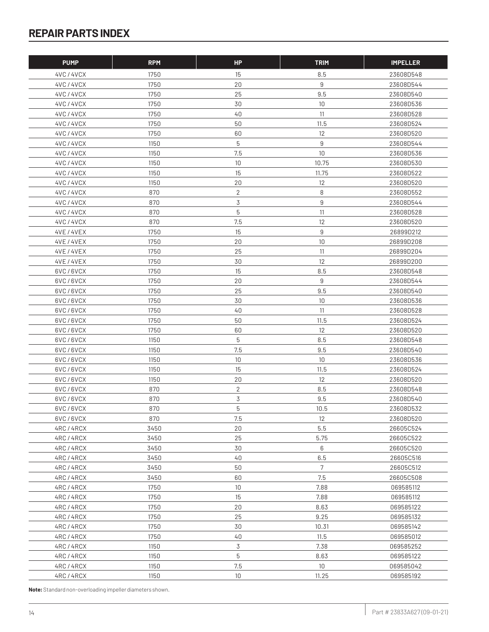| <b>PUMP</b>          | <b>RPM</b>   | <b>HP</b>    | <b>TRIM</b>      | <b>IMPELLER</b>        |
|----------------------|--------------|--------------|------------------|------------------------|
| 4VC / 4VCX           | 1750         | 15           | 8.5              | 23608D548              |
| 4VC/4VCX             | 1750         | 20           | 9                | 23608D544              |
| 4VC/4VCX             | 1750         | 25           | 9.5              | 23608D540              |
| 4VC/4VCX             | 1750         | 30           | 10               | 23608D536              |
| 4VC / 4VCX           | 1750         | 40           | 11               | 23608D528              |
| 4VC/4VCX             | 1750         | 50           | 11.5             | 23608D524              |
| 4VC/4VCX             | 1750         | 60           | 12               | 23608D520              |
| 4VC/4VCX             | 1150         | 5            | $\boldsymbol{9}$ | 23608D544              |
| 4VC/4VCX             | 1150         | 7.5          | 10               | 23608D536              |
| 4VC / 4VCX           | 1150         | 10           | 10.75            | 23608D530              |
| 4VC / 4VCX           | 1150         | 15           | 11.75            | 23608D522              |
| 4VC/4VCX             | 1150         | 20           | 12               | 23608D520              |
| 4VC/4VCX             | 870          | $\mathbf{2}$ | 8                | 23608D552              |
| 4VC/4VCX             | 870          | 3            | 9                | 23608D544              |
| 4VC/4VCX             | 870          | 5            | 11               | 23608D528              |
| 4VC/4VCX             | 870          | 7.5          | 12               | 23608D520              |
| 4VE / 4VEX           | 1750         | 15           | 9                | 26899D212              |
| <b>4VE / 4VEX</b>    | 1750         | 20           | 10               | 26899D208              |
| <b>4VE / 4VEX</b>    | 1750         | 25           | 11               | 26899D204              |
| 4VE / 4VEX           | 1750         | 30           | 12               | 26899D200              |
| 6VC/6VCX             | 1750         | 15           | 8.5              | 23608D548              |
| 6VC/6VCX             | 1750         | 20           | 9                | 23608D544              |
| 6VC/6VCX             | 1750         | 25           | 9.5              | 23608D540              |
| 6VC/6VCX             | 1750         | 30           | 10               | 23608D536              |
| 6VC/6VCX             | 1750         | 40           | 11               | 23608D528              |
| 6VC/6VCX             | 1750         | 50           | 11.5             | 23608D524              |
| 6VC/6VCX             | 1750         | 60           | 12               | 23608D520              |
| 6VC/6VCX             | 1150         | 5            | 8.5              | 23608D548              |
| 6VC/6VCX             | 1150         | 7.5          | 9.5              | 23608D540              |
| 6VC/6VCX             | 1150         | 10           | 10               | 23608D536              |
| 6VC/6VCX             | 1150         | 15           | 11.5             | 23608D524              |
| 6VC/6VCX             | 1150         | 20           | 12               | 23608D520              |
| 6VC/6VCX             | 870          | $\mathbf{2}$ | 8.5              | 23608D548              |
| 6VC/6VCX             | 870          | 3            | 9.5              | 23608D540              |
|                      | 870          | 5            | 10.5             |                        |
| 6VC/6VCX<br>6VC/6VCX | 870          | 7.5          |                  | 23608D532<br>23608D520 |
|                      |              |              | 12               |                        |
| 4RC/4RCX             | 3450         | 20           | 5.5              | 26605C524              |
| 4RC/4RCX             | 3450         | 25           | 5.75             | 26605C522              |
| 4RC/4RCX             | 3450<br>3450 | 30<br>40     | 6<br>6.5         | 26605C520              |
| 4RC/4RCX<br>4RC/4RCX | 3450         | 50           | 7                | 26605C516<br>26605C512 |
| 4RC/4RCX             | 3450         | 60           | 7.5              | 26605C508              |
|                      |              |              |                  |                        |
| 4RC/4RCX             | 1750         | 10           | 7.88             | 069585112              |
| 4RC/4RCX             | 1750         | 15           | 7.88             | 069585112              |
| 4RC/4RCX             | 1750<br>1750 | 20<br>25     | 8.63<br>9.25     | 069585122<br>069585132 |
| 4RC/4RCX             | 1750         | 30           | 10.31            | 069585142              |
| 4RC/4RCX<br>4RC/4RCX | 1750         | 40           | 11.5             | 069585012              |
|                      |              | 3            |                  |                        |
| 4RC/4RCX             | 1150         | 5            | 7.38             | 069585252              |
| 4RC/4RCX             | 1150         | 7.5          | 8.63<br>10       | 069585122              |
| 4RC/4RCX             | 1150         |              |                  | 069585042              |
| 4RC/4RCX             | 1150         | 10           | 11.25            | 069585192              |

**Note:** Standard non-overloading impeller diameters shown.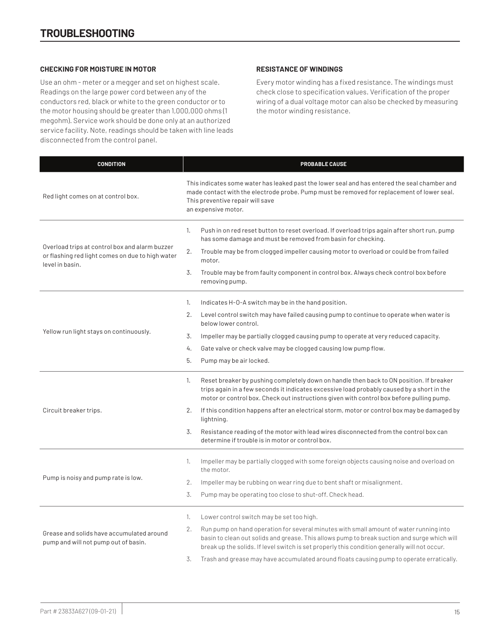### **CHECKING FOR MOISTURE IN MOTOR**

Use an ohm - meter or a megger and set on highest scale. Readings on the large power cord between any of the conductors red, black or white to the green conductor or to the motor housing should be greater than 1,000,000 ohms (1 megohm). Service work should be done only at an authorized service facility. Note, readings should be taken with line leads disconnected from the control panel.

## **RESISTANCE OF WINDINGS**

Every motor winding has a fixed resistance. The windings must check close to specification values. Verification of the proper wiring of a dual voltage motor can also be checked by measuring the motor winding resistance.

| <b>CONDITION</b>                                                                                                      | PROBABLE CAUSE                                                                                                                                                                                                                                                                                |  |  |  |  |  |
|-----------------------------------------------------------------------------------------------------------------------|-----------------------------------------------------------------------------------------------------------------------------------------------------------------------------------------------------------------------------------------------------------------------------------------------|--|--|--|--|--|
| Red light comes on at control box.                                                                                    | This indicates some water has leaked past the lower seal and has entered the seal chamber and<br>made contact with the electrode probe. Pump must be removed for replacement of lower seal.<br>This preventive repair will save<br>an expensive motor.                                        |  |  |  |  |  |
|                                                                                                                       | Push in on red reset button to reset overload. If overload trips again after short run, pump<br>1.<br>has some damage and must be removed from basin for checking.                                                                                                                            |  |  |  |  |  |
| Overload trips at control box and alarm buzzer<br>or flashing red light comes on due to high water<br>level in basin. | 2.<br>Trouble may be from clogged impeller causing motor to overload or could be from failed<br>motor.                                                                                                                                                                                        |  |  |  |  |  |
|                                                                                                                       | 3.<br>Trouble may be from faulty component in control box. Always check control box before<br>removing pump.                                                                                                                                                                                  |  |  |  |  |  |
|                                                                                                                       | 1.<br>Indicates H-O-A switch may be in the hand position.                                                                                                                                                                                                                                     |  |  |  |  |  |
|                                                                                                                       | 2.<br>Level control switch may have failed causing pump to continue to operate when water is<br>below lower control.                                                                                                                                                                          |  |  |  |  |  |
| Yellow run light stays on continuously.                                                                               | 3.<br>Impeller may be partially clogged causing pump to operate at very reduced capacity.                                                                                                                                                                                                     |  |  |  |  |  |
|                                                                                                                       | 4.<br>Gate valve or check valve may be clogged causing low pump flow.                                                                                                                                                                                                                         |  |  |  |  |  |
|                                                                                                                       | 5.<br>Pump may be air locked.                                                                                                                                                                                                                                                                 |  |  |  |  |  |
|                                                                                                                       | Reset breaker by pushing completely down on handle then back to ON position. If breaker<br>1.<br>trips again in a few seconds it indicates excessive load probably caused by a short in the<br>motor or control box. Check out instructions given with control box before pulling pump.       |  |  |  |  |  |
| Circuit breaker trips.                                                                                                | If this condition happens after an electrical storm, motor or control box may be damaged by<br>2.<br>lightning.                                                                                                                                                                               |  |  |  |  |  |
|                                                                                                                       | 3.<br>Resistance reading of the motor with lead wires disconnected from the control box can<br>determine if trouble is in motor or control box.                                                                                                                                               |  |  |  |  |  |
|                                                                                                                       | Impeller may be partially clogged with some foreign objects causing noise and overload on<br>1.<br>the motor.                                                                                                                                                                                 |  |  |  |  |  |
| Pump is noisy and pump rate is low.                                                                                   | 2.<br>Impeller may be rubbing on wear ring due to bent shaft or misalignment.                                                                                                                                                                                                                 |  |  |  |  |  |
|                                                                                                                       | 3.<br>Pump may be operating too close to shut-off. Check head.                                                                                                                                                                                                                                |  |  |  |  |  |
|                                                                                                                       | Lower control switch may be set too high.<br>1.                                                                                                                                                                                                                                               |  |  |  |  |  |
| Grease and solids have accumulated around<br>pump and will not pump out of basin.                                     | 2.<br>Run pump on hand operation for several minutes with small amount of water running into<br>basin to clean out solids and grease. This allows pump to break suction and surge which will<br>break up the solids. If level switch is set properly this condition generally will not occur. |  |  |  |  |  |
|                                                                                                                       | 3.<br>Trash and grease may have accumulated around floats causing pump to operate erratically.                                                                                                                                                                                                |  |  |  |  |  |